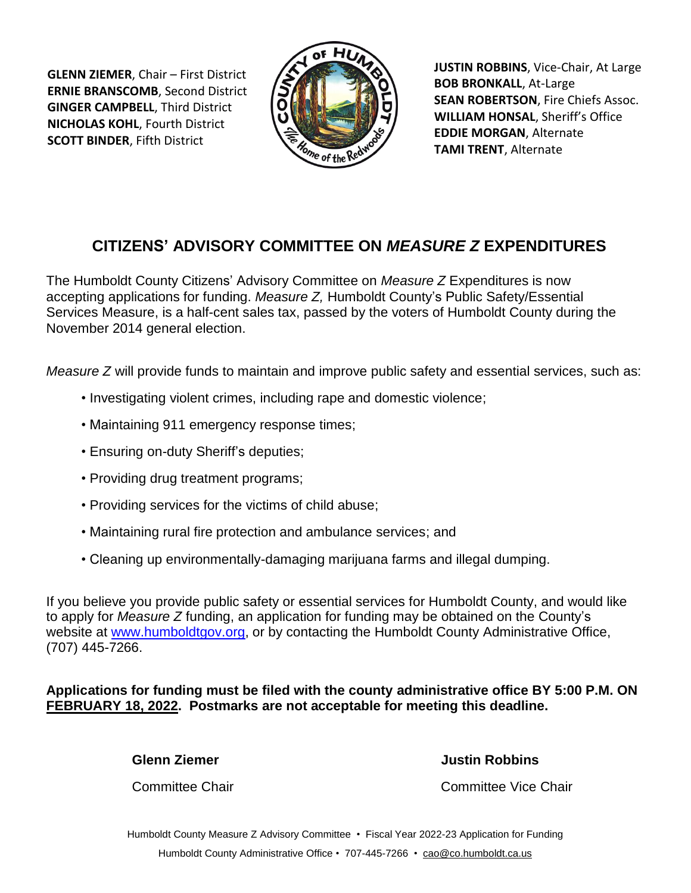**GLENN ZIEMER**, Chair – First District **ERNIE BRANSCOMB**, Second District **GINGER CAMPBELL**, Third District **NICHOLAS KOHL**, Fourth District **SCOTT BINDER**, Fifth District



**JUSTIN ROBBINS**, Vice-Chair, At Large **BOB BRONKALL**, At-Large **SEAN ROBERTSON**, Fire Chiefs Assoc. **WILLIAM HONSAL**, Sheriff's Office **EDDIE MORGAN**, Alternate **TAMI TRENT**, Alternate

## **CITIZENS' ADVISORY COMMITTEE ON** *MEASURE Z* **EXPENDITURES**

The Humboldt County Citizens' Advisory Committee on *Measure Z* Expenditures is now accepting applications for funding. *Measure Z,* Humboldt County's Public Safety/Essential Services Measure, is a half-cent sales tax, passed by the voters of Humboldt County during the November 2014 general election.

*Measure Z* will provide funds to maintain and improve public safety and essential services, such as:

- Investigating violent crimes, including rape and domestic violence;
- Maintaining 911 emergency response times;
- Ensuring on-duty Sheriff's deputies;
- Providing drug treatment programs;
- Providing services for the victims of child abuse;
- Maintaining rural fire protection and ambulance services; and
- Cleaning up environmentally-damaging marijuana farms and illegal dumping.

If you believe you provide public safety or essential services for Humboldt County, and would like to apply for *Measure Z* funding, an application for funding may be obtained on the County's website at [www.humboldtgov.org,](file://///cty-fs-01/CAO/Users/caostaff/FILES/M/Measure%20Z/Citizens) or by contacting the Humboldt County Administrative Office, (707) 445-7266.

**Applications for funding must be filed with the county administrative office BY 5:00 P.M. ON FEBRUARY 18, 2022. Postmarks are not acceptable for meeting this deadline.**

**Glenn Ziemer Justin Robbins**

**Committee Chair** Committee Vice Chair

Humboldt County Measure Z Advisory Committee • Fiscal Year 2022-23 Application for Funding Humboldt County Administrative Office • 707-445-7266 • [cao@co.humboldt.ca.us](mailto:cao@co.humboldt.ca.us)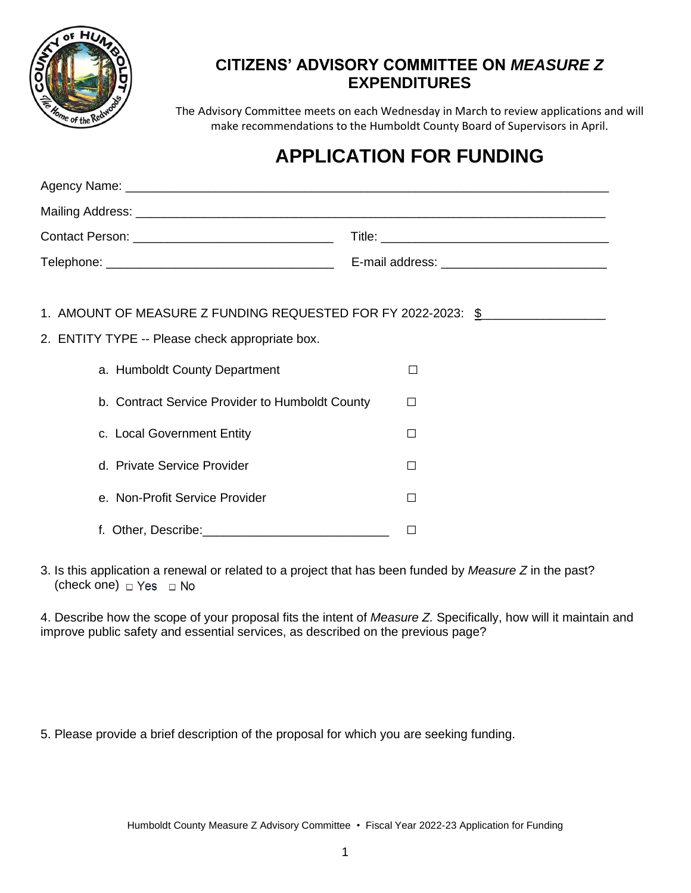

### **CITIZENS' ADVISORY COMMITTEE ON** *MEASURE Z*  **EXPENDITURES**

The Advisory Committee meets on each Wednesday in March to review applications and will make recommendations to the Humboldt County Board of Supervisors in April.

# **APPLICATION FOR FUNDING**

|  | 1. AMOUNT OF MEASURE Z FUNDING REQUESTED FOR FY 2022-2023: \$<br>2. ENTITY TYPE -- Please check appropriate box.<br>a. Humboldt County Department<br>b. Contract Service Provider to Humboldt County<br>c. Local Government Entity | $\mathsf{L}$<br>П<br>$\perp$ |  |  |
|--|------------------------------------------------------------------------------------------------------------------------------------------------------------------------------------------------------------------------------------|------------------------------|--|--|
|  | d. Private Service Provider                                                                                                                                                                                                        | П                            |  |  |
|  | e. Non-Profit Service Provider                                                                                                                                                                                                     | П                            |  |  |
|  |                                                                                                                                                                                                                                    |                              |  |  |

3. Is this application a renewal or related to a project that has been funded by *Measure Z* in the past? (check one)  $\Box$  Yes  $\Box$  No

4. Describe how the scope of your proposal fits the intent of *Measure Z.* Specifically, how will it maintain and improve public safety and essential services, as described on the previous page?

5. Please provide a brief description of the proposal for which you are seeking funding.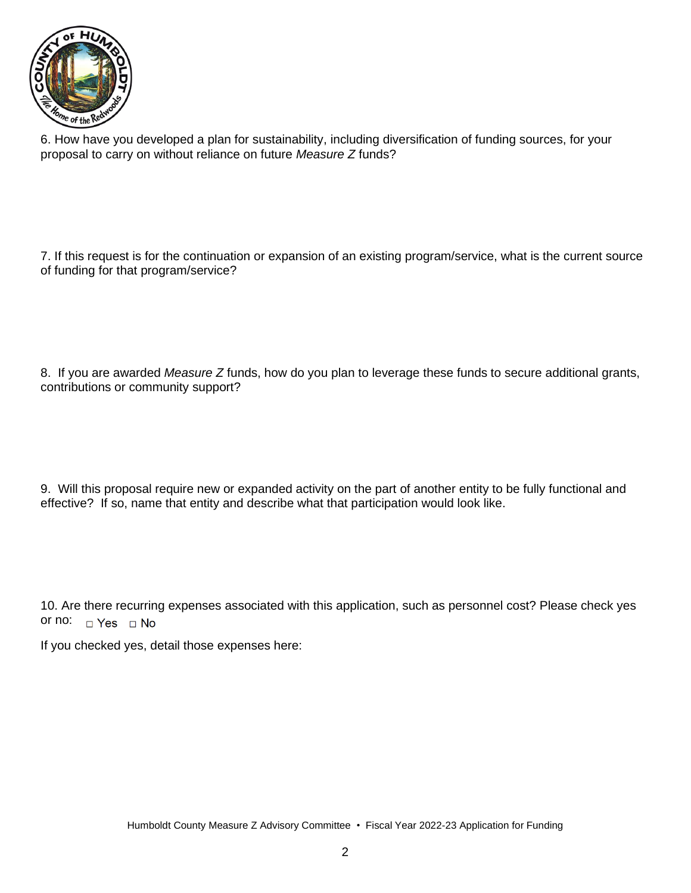

6. How have you developed a plan for sustainability, including diversification of funding sources, for your proposal to carry on without reliance on future *Measure Z* funds?

7. If this request is for the continuation or expansion of an existing program/service, what is the current source of funding for that program/service?

8. If you are awarded *Measure Z* funds, how do you plan to leverage these funds to secure additional grants, contributions or community support?

9. Will this proposal require new or expanded activity on the part of another entity to be fully functional and effective? If so, name that entity and describe what that participation would look like.

10. Are there recurring expenses associated with this application, such as personnel cost? Please check yes or no:  $\Box$  Yes  $\Box$  No

If you checked yes, detail those expenses here: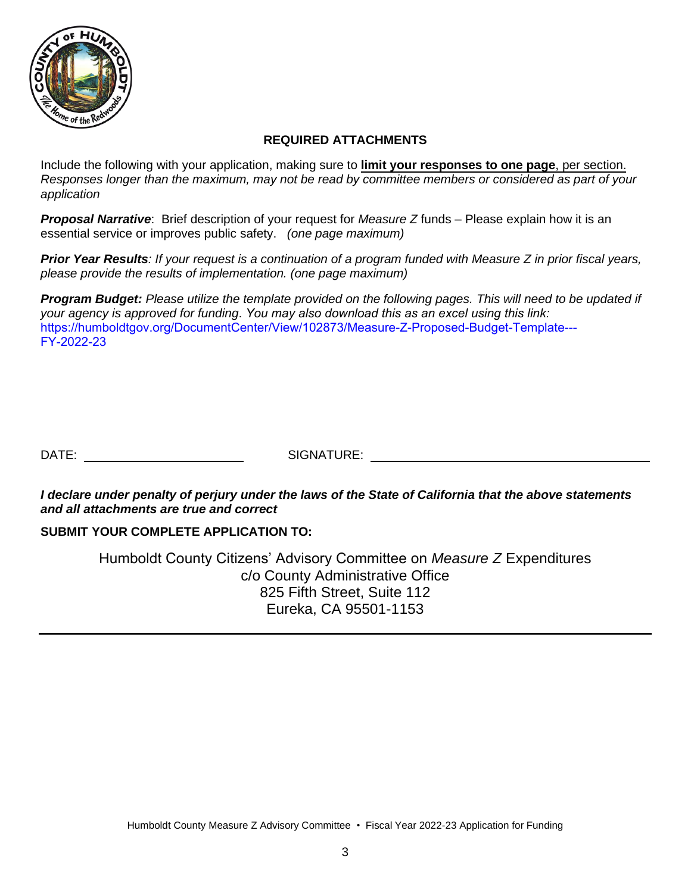

#### **REQUIRED ATTACHMENTS**

Include the following with your application, making sure to **limit your responses to one page**, per section. *Responses longer than the maximum, may not be read by committee members or considered as part of your application*

*Proposal Narrative*: Brief description of your request for *Measure Z* funds – Please explain how it is an essential service or improves public safety. *(one page maximum)* 

*Prior Year Results: If your request is a continuation of a program funded with Measure Z in prior fiscal years, please provide the results of implementation. (one page maximum)* 

*Program Budget: Please utilize the template provided on the following pages. This will need to be updated if your agency is approved for funding*. *You may also download this as an excel using this link:*  [https://humboldtgov.org/DocumentCenter/View/102873/Measure-Z-Proposed-Budget-Template---](https://humboldtgov.org/DocumentCenter/View/102873/Measure-Z-Proposed-Budget-Template---FY-2022-23) FY-2022-23

DATE: SIGNATURE:

*I declare under penalty of perjury under the laws of the State of California that the above statements and all attachments are true and correct* 

#### **SUBMIT YOUR COMPLETE APPLICATION TO:**

Humboldt County Citizens' Advisory Committee on *Measure Z* Expenditures c/o County Administrative Office 825 Fifth Street, Suite 112 Eureka, CA 95501-1153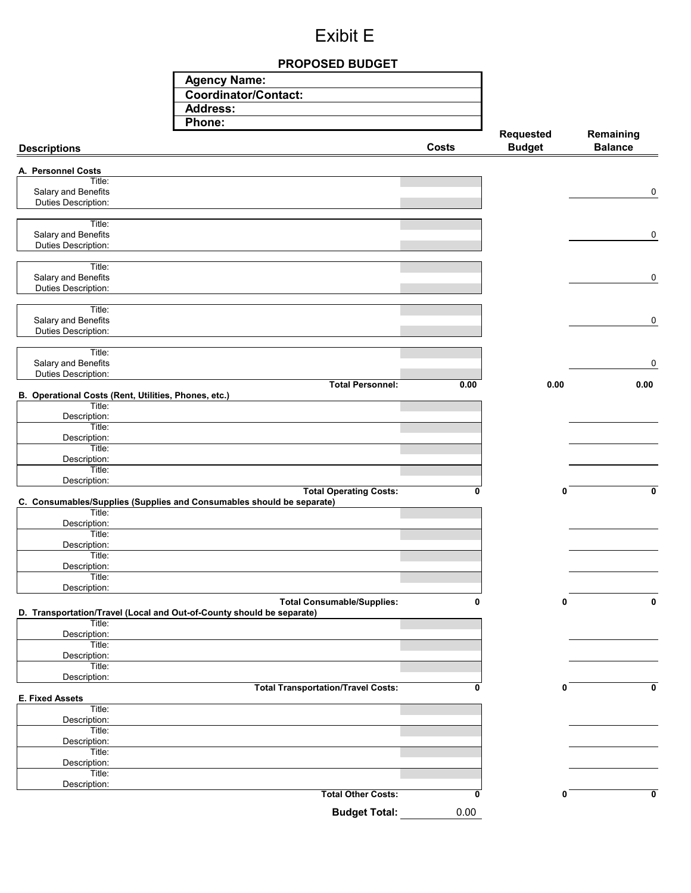# Exibit E

#### **PROPOSED BUDGET**

| <b>Agency Name:</b>  |
|----------------------|
| Coordinator/Contact: |
| Address:             |
| Phone:               |

| <br><b>Descriptions</b>                                                                                    | <b>Costs</b> | Requested<br><b>Budget</b> | Remaining<br><b>Balance</b> |
|------------------------------------------------------------------------------------------------------------|--------------|----------------------------|-----------------------------|
| A. Personnel Costs                                                                                         |              |                            |                             |
| Title:                                                                                                     |              |                            |                             |
| Salary and Benefits<br>Duties Description:                                                                 |              |                            | 0                           |
|                                                                                                            |              |                            |                             |
| Title:                                                                                                     |              |                            |                             |
| Salary and Benefits<br>Duties Description:                                                                 |              |                            | 0                           |
|                                                                                                            |              |                            |                             |
| Title:<br>Salary and Benefits                                                                              |              |                            | $\mathbf 0$                 |
| Duties Description:                                                                                        |              |                            |                             |
| Title:                                                                                                     |              |                            |                             |
| Salary and Benefits                                                                                        |              |                            | 0                           |
| Duties Description:                                                                                        |              |                            |                             |
| Title:                                                                                                     |              |                            |                             |
| Salary and Benefits<br>Duties Description:                                                                 |              |                            | 0                           |
| <b>Total Personnel:</b>                                                                                    | 0.00         | 0.00                       | 0.00                        |
| B. Operational Costs (Rent, Utilities, Phones, etc.)<br>Title:                                             |              |                            |                             |
| Description:                                                                                               |              |                            |                             |
| Title:<br>Description:                                                                                     |              |                            |                             |
| Title:                                                                                                     |              |                            |                             |
| Description:                                                                                               |              |                            |                             |
| Title:<br>Description:                                                                                     |              |                            |                             |
| <b>Total Operating Costs:</b>                                                                              | 0            | 0                          | 0                           |
| C. Consumables/Supplies (Supplies and Consumables should be separate)<br>Title:                            |              |                            |                             |
| Description:                                                                                               |              |                            |                             |
| Title:<br>Description:                                                                                     |              |                            |                             |
| Title:                                                                                                     |              |                            |                             |
| Description:<br>Title:                                                                                     |              |                            |                             |
| Description:                                                                                               |              |                            |                             |
| <b>Total Consumable/Supplies:</b><br>D. Transportation/Travel (Local and Out-of-County should be separate) | $\mathbf{0}$ | 0                          | $\mathbf 0$                 |
| Title:                                                                                                     |              |                            |                             |
| Description:<br>Title:                                                                                     |              |                            |                             |
| Description:                                                                                               |              |                            |                             |
| Title:<br>Description:                                                                                     |              |                            |                             |
| <b>Total Transportation/Travel Costs:</b>                                                                  | 0            | 0                          | 0                           |
| <b>E. Fixed Assets</b><br>Title:                                                                           |              |                            |                             |
| Description:                                                                                               |              |                            |                             |
| Title:<br>Description:                                                                                     |              |                            |                             |
| Title:                                                                                                     |              |                            |                             |
| Description:<br>Title:                                                                                     |              |                            |                             |
| Description:                                                                                               |              |                            |                             |
| <b>Total Other Costs:</b>                                                                                  | 0            | 0                          | 0                           |
| <b>Budget Total:</b>                                                                                       | 0.00         |                            |                             |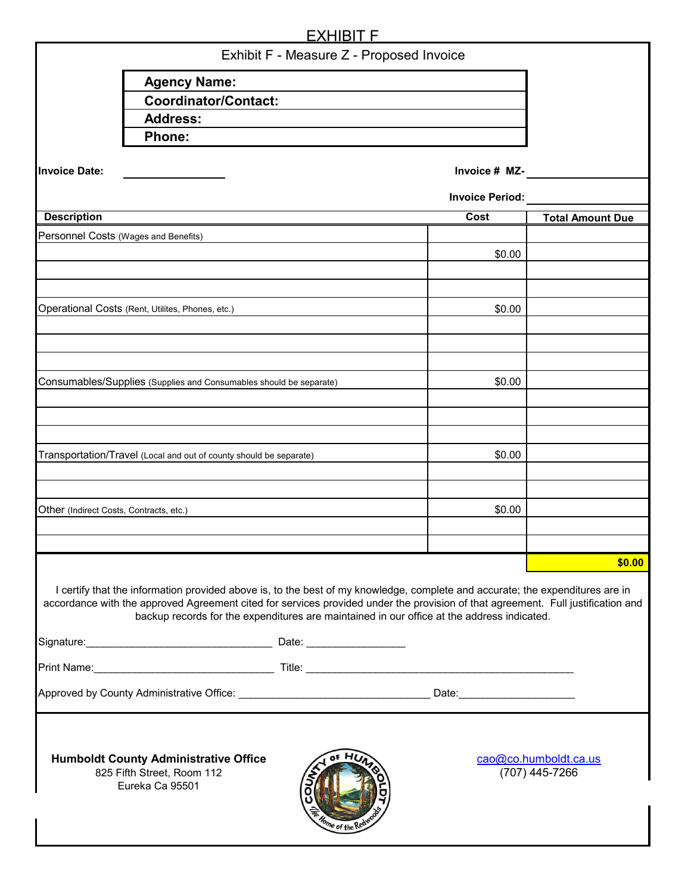|                                                                                                                                                            |                                                                                                                                                                                                                                                                                                                                                                 | <b>EXHIBIT F</b> |  |             |                         |  |  |
|------------------------------------------------------------------------------------------------------------------------------------------------------------|-----------------------------------------------------------------------------------------------------------------------------------------------------------------------------------------------------------------------------------------------------------------------------------------------------------------------------------------------------------------|------------------|--|-------------|-------------------------|--|--|
| Exhibit F - Measure Z - Proposed Invoice                                                                                                                   |                                                                                                                                                                                                                                                                                                                                                                 |                  |  |             |                         |  |  |
|                                                                                                                                                            | <b>Agency Name:</b>                                                                                                                                                                                                                                                                                                                                             |                  |  |             |                         |  |  |
|                                                                                                                                                            | <b>Coordinator/Contact:</b>                                                                                                                                                                                                                                                                                                                                     |                  |  |             |                         |  |  |
|                                                                                                                                                            | <b>Address:</b>                                                                                                                                                                                                                                                                                                                                                 |                  |  |             |                         |  |  |
|                                                                                                                                                            | <b>Phone:</b>                                                                                                                                                                                                                                                                                                                                                   |                  |  |             |                         |  |  |
| <b>Invoice Date:</b>                                                                                                                                       | Invoice # MZ-                                                                                                                                                                                                                                                                                                                                                   |                  |  |             |                         |  |  |
|                                                                                                                                                            | <b>Invoice Period:</b>                                                                                                                                                                                                                                                                                                                                          |                  |  |             |                         |  |  |
| <b>Description</b>                                                                                                                                         |                                                                                                                                                                                                                                                                                                                                                                 |                  |  | <b>Cost</b> | <b>Total Amount Due</b> |  |  |
| Personnel Costs (Wages and Benefits)                                                                                                                       |                                                                                                                                                                                                                                                                                                                                                                 |                  |  |             |                         |  |  |
|                                                                                                                                                            |                                                                                                                                                                                                                                                                                                                                                                 |                  |  | \$0.00      |                         |  |  |
|                                                                                                                                                            |                                                                                                                                                                                                                                                                                                                                                                 |                  |  |             |                         |  |  |
|                                                                                                                                                            |                                                                                                                                                                                                                                                                                                                                                                 |                  |  |             |                         |  |  |
|                                                                                                                                                            | Operational Costs (Rent, Utilites, Phones, etc.)                                                                                                                                                                                                                                                                                                                |                  |  | \$0.00      |                         |  |  |
|                                                                                                                                                            |                                                                                                                                                                                                                                                                                                                                                                 |                  |  |             |                         |  |  |
|                                                                                                                                                            |                                                                                                                                                                                                                                                                                                                                                                 |                  |  |             |                         |  |  |
|                                                                                                                                                            | Consumables/Supplies (Supplies and Consumables should be separate)                                                                                                                                                                                                                                                                                              |                  |  | \$0.00      |                         |  |  |
|                                                                                                                                                            |                                                                                                                                                                                                                                                                                                                                                                 |                  |  |             |                         |  |  |
|                                                                                                                                                            |                                                                                                                                                                                                                                                                                                                                                                 |                  |  |             |                         |  |  |
|                                                                                                                                                            |                                                                                                                                                                                                                                                                                                                                                                 |                  |  |             |                         |  |  |
|                                                                                                                                                            | Transportation/Travel (Local and out of county should be separate)                                                                                                                                                                                                                                                                                              |                  |  | \$0.00      |                         |  |  |
|                                                                                                                                                            |                                                                                                                                                                                                                                                                                                                                                                 |                  |  |             |                         |  |  |
|                                                                                                                                                            |                                                                                                                                                                                                                                                                                                                                                                 |                  |  |             |                         |  |  |
| Other (Indirect Costs, Contracts, etc.)                                                                                                                    |                                                                                                                                                                                                                                                                                                                                                                 |                  |  | \$0.00      |                         |  |  |
|                                                                                                                                                            |                                                                                                                                                                                                                                                                                                                                                                 |                  |  |             |                         |  |  |
|                                                                                                                                                            |                                                                                                                                                                                                                                                                                                                                                                 |                  |  |             |                         |  |  |
|                                                                                                                                                            |                                                                                                                                                                                                                                                                                                                                                                 |                  |  |             | \$0.00                  |  |  |
|                                                                                                                                                            | I certify that the information provided above is, to the best of my knowledge, complete and accurate; the expenditures are in<br>accordance with the approved Agreement cited for services provided under the provision of that agreement. Full justification and<br>backup records for the expenditures are maintained in our office at the address indicated. |                  |  |             |                         |  |  |
|                                                                                                                                                            |                                                                                                                                                                                                                                                                                                                                                                 |                  |  |             |                         |  |  |
|                                                                                                                                                            |                                                                                                                                                                                                                                                                                                                                                                 |                  |  |             |                         |  |  |
|                                                                                                                                                            |                                                                                                                                                                                                                                                                                                                                                                 |                  |  |             |                         |  |  |
| <b>Humboldt County Administrative Office</b><br>cao@co.humboldt.ca.us<br>(707) 445-7266<br>825 Fifth Street, Room 112<br>Eureka Ca 95501<br>ome of the Red |                                                                                                                                                                                                                                                                                                                                                                 |                  |  |             |                         |  |  |